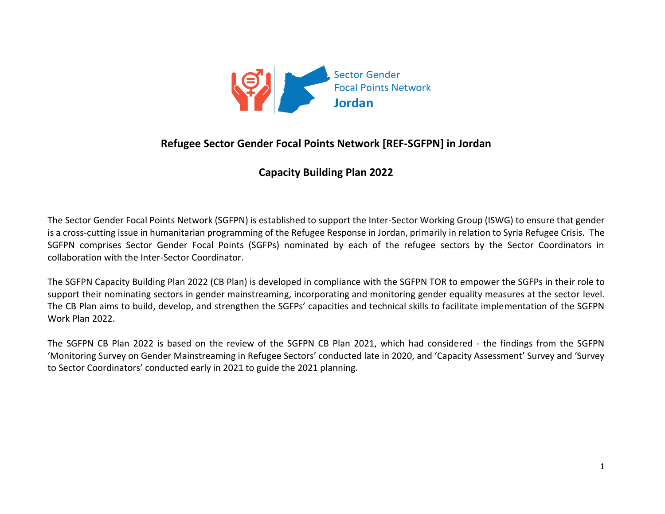

## **Refugee Sector Gender Focal Points Network [REF-SGFPN] in Jordan**

## **Capacity Building Plan 2022**

The Sector Gender Focal Points Network (SGFPN) is established to support the Inter-Sector Working Group (ISWG) to ensure that gender is a cross-cutting issue in humanitarian programming of the Refugee Response in Jordan, primarily in relation to Syria Refugee Crisis. The SGFPN comprises Sector Gender Focal Points (SGFPs) nominated by each of the refugee sectors by the Sector Coordinators in collaboration with the Inter-Sector Coordinator.

The SGFPN Capacity Building Plan 2022 (CB Plan) is developed in compliance with the SGFPN TOR to empower the SGFPs in their role to support their nominating sectors in gender mainstreaming, incorporating and monitoring gender equality measures at the sector level. The CB Plan aims to build, develop, and strengthen the SGFPs' capacities and technical skills to facilitate implementation of the SGFPN Work Plan 2022.

The SGFPN CB Plan 2022 is based on the review of the SGFPN CB Plan 2021, which had considered - the findings from the SGFPN 'Monitoring Survey on Gender Mainstreaming in Refugee Sectors' conducted late in 2020, and 'Capacity Assessment' Survey and 'Survey to Sector Coordinators' conducted early in 2021 to guide the 2021 planning.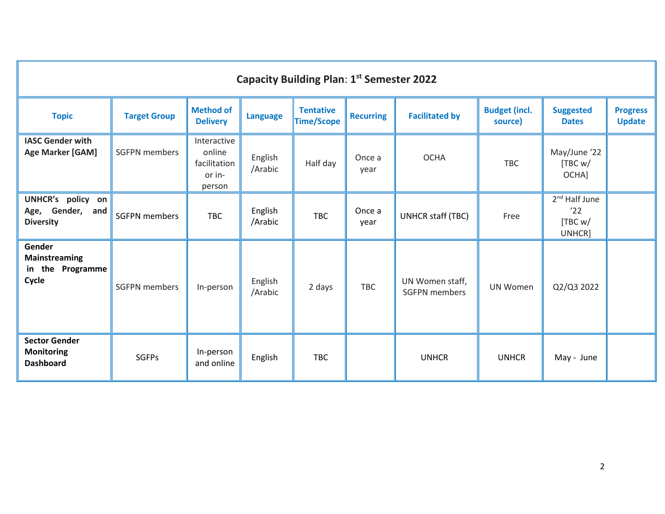| <b>Capacity Building Plan: 1st Semester 2022</b>              |                      |                                                           |                    |                                       |                  |                                         |                                 |                                                       |                                  |  |  |  |
|---------------------------------------------------------------|----------------------|-----------------------------------------------------------|--------------------|---------------------------------------|------------------|-----------------------------------------|---------------------------------|-------------------------------------------------------|----------------------------------|--|--|--|
| <b>Topic</b>                                                  | <b>Target Group</b>  | <b>Method of</b><br><b>Delivery</b>                       | <b>Language</b>    | <b>Tentative</b><br><b>Time/Scope</b> | <b>Recurring</b> | <b>Facilitated by</b>                   | <b>Budget (incl.</b><br>source) | <b>Suggested</b><br><b>Dates</b>                      | <b>Progress</b><br><b>Update</b> |  |  |  |
| <b>IASC Gender with</b><br><b>Age Marker [GAM]</b>            | <b>SGFPN</b> members | Interactive<br>online<br>facilitation<br>or in-<br>person | English<br>/Arabic | Half day                              | Once a<br>year   | <b>OCHA</b>                             | <b>TBC</b>                      | May/June '22<br>[TBC w]<br>OCHA]                      |                                  |  |  |  |
| UNHCR's policy on<br>Age, Gender, and<br><b>Diversity</b>     | <b>SGFPN</b> members | <b>TBC</b>                                                | English<br>/Arabic | <b>TBC</b>                            | Once a<br>year   | UNHCR staff (TBC)                       | Free                            | 2 <sup>nd</sup> Half June<br>'22<br>[TBC w]<br>UNHCR] |                                  |  |  |  |
| Gender<br><b>Mainstreaming</b><br>in the Programme<br>Cycle   | <b>SGFPN</b> members | In-person                                                 | English<br>/Arabic | 2 days                                | <b>TBC</b>       | UN Women staff,<br><b>SGFPN</b> members | <b>UN Women</b>                 | Q2/Q3 2022                                            |                                  |  |  |  |
| <b>Sector Gender</b><br><b>Monitoring</b><br><b>Dashboard</b> | <b>SGFPs</b>         | In-person<br>and online                                   | English            | <b>TBC</b>                            |                  | <b>UNHCR</b>                            | <b>UNHCR</b>                    | May - June                                            |                                  |  |  |  |